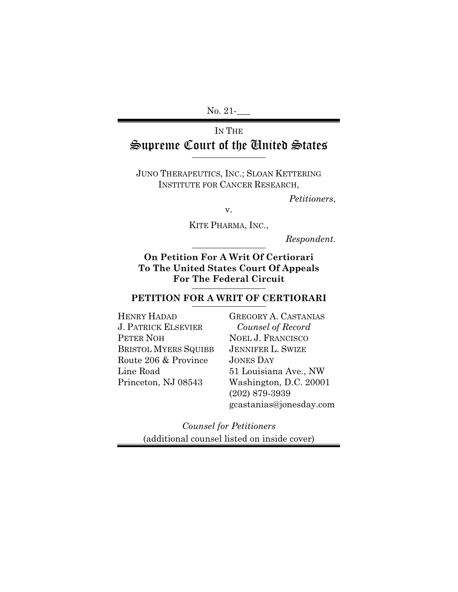No. 21-**\_\_\_** 

# IN THE Supreme Court of the United States

JUNO THERAPEUTICS, INC.; SLOAN KETTERING INSTITUTE FOR CANCER RESEARCH,

*Petitioners*,

v.

KITE PHARMA, INC.,

*Respondent.*

**On Petition For A Writ Of Certiorari To The United States Court Of Appeals For The Federal Circuit**

### **PETITION FOR A WRIT OF CERTIORARI**

| <b>HENRY HADAD</b>          |
|-----------------------------|
| <b>J. PATRICK ELSEVIER</b>  |
| PETER NOH                   |
| <b>BRISTOL MYERS SQUIBB</b> |
| Route 206 & Province        |
| Line Road                   |
| Princeton, NJ 08543         |
|                             |

GREGORY A. CASTANIAS *Counsel of Record*  NOEL J. FRANCISCO JENNIFER L. SWIZE JONES DAY 51 Louisiana Ave., NW Washington, D.C. 20001 (202) 879-3939 gcastanias@jonesday.com

*Counsel for Petitioners*  (additional counsel listed on inside cover)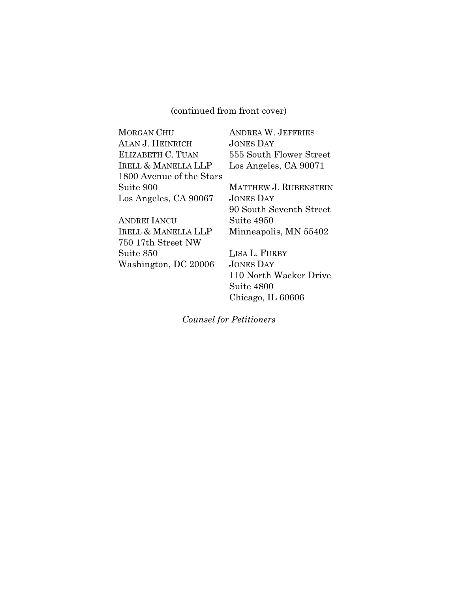(continued from front cover)

| <b>MORGAN CHU</b>              | <b>ANDREA W. JEFF</b> |
|--------------------------------|-----------------------|
| ALAN J. HEINRICH               | <b>JONES DAY</b>      |
| ELIZABETH C. TUAN              | 555 South Flowe       |
| <b>IRELL &amp; MANELLA LLP</b> | Los Angeles, CA       |
| 1800 Avenue of the Stars       |                       |
| Suite 900                      | MATTHEW J. RUE        |
| Los Angeles, CA 90067          | <b>JONES DAY</b>      |
|                                | 90 South Sevent       |

ANDREI IANCU IRELL & MANELLA LLP 750 17th Street NW Suite 850 Washington, DC 20006 W. JEFFRIES er Street 90071

**BENSTEIN** 90 South Seventh Street Suite 4950 Minneapolis, MN 55402

LISA L. FURBY JONES DAY 110 North Wacker Drive Suite 4800 Chicago, IL 60606

*Counsel for Petitioners*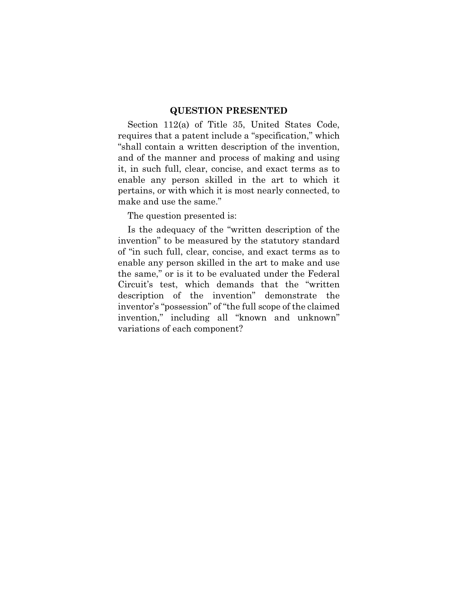#### **QUESTION PRESENTED**

Section 112(a) of Title 35, United States Code, requires that a patent include a "specification," which "shall contain a written description of the invention, and of the manner and process of making and using it, in such full, clear, concise, and exact terms as to enable any person skilled in the art to which it pertains, or with which it is most nearly connected, to make and use the same."

The question presented is:

Is the adequacy of the "written description of the invention" to be measured by the statutory standard of "in such full, clear, concise, and exact terms as to enable any person skilled in the art to make and use the same," or is it to be evaluated under the Federal Circuit's test, which demands that the "written description of the invention" demonstrate the inventor's "possession" of "the full scope of the claimed invention," including all "known and unknown" variations of each component?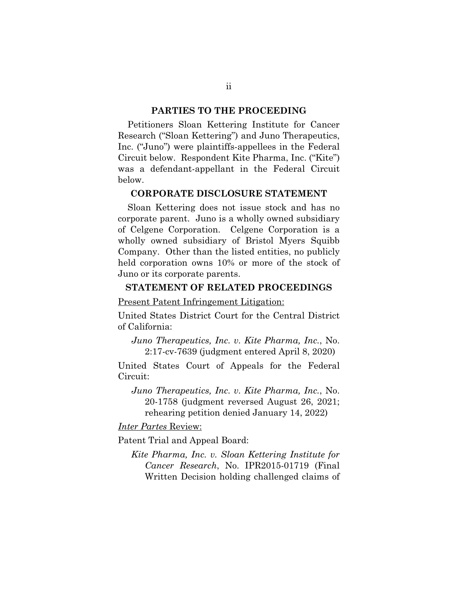#### **PARTIES TO THE PROCEEDING**

Petitioners Sloan Kettering Institute for Cancer Research ("Sloan Kettering") and Juno Therapeutics, Inc. ("Juno") were plaintiffs-appellees in the Federal Circuit below. Respondent Kite Pharma, Inc. ("Kite") was a defendant-appellant in the Federal Circuit below.

#### **CORPORATE DISCLOSURE STATEMENT**

Sloan Kettering does not issue stock and has no corporate parent. Juno is a wholly owned subsidiary of Celgene Corporation. Celgene Corporation is a wholly owned subsidiary of Bristol Myers Squibb Company. Other than the listed entities, no publicly held corporation owns 10% or more of the stock of Juno or its corporate parents.

#### **STATEMENT OF RELATED PROCEEDINGS**

Present Patent Infringement Litigation:

United States District Court for the Central District of California:

*Juno Therapeutics, Inc. v. Kite Pharma, Inc.*, No. 2:17-cv-7639 (judgment entered April 8, 2020)

United States Court of Appeals for the Federal Circuit:

*Juno Therapeutics, Inc. v. Kite Pharma, Inc.*, No. 20-1758 (judgment reversed August 26, 2021; rehearing petition denied January 14, 2022)

#### *Inter Partes* Review:

Patent Trial and Appeal Board:

*Kite Pharma, Inc. v. Sloan Kettering Institute for Cancer Research*, No. IPR2015-01719 (Final Written Decision holding challenged claims of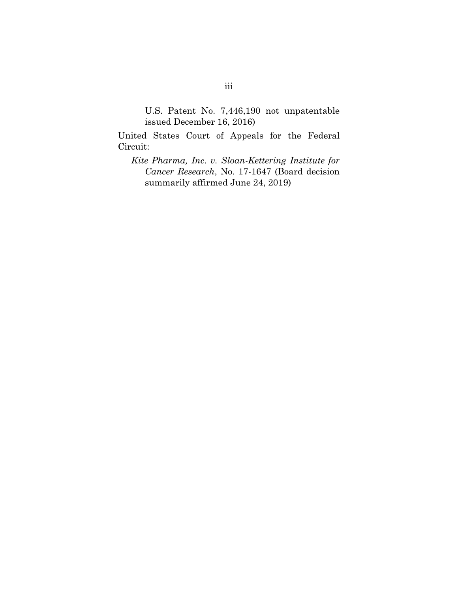U.S. Patent No. 7,446,190 not unpatentable issued December 16, 2016)

United States Court of Appeals for the Federal Circuit:

*Kite Pharma, Inc. v. Sloan-Kettering Institute for Cancer Research*, No. 17-1647 (Board decision summarily affirmed June 24, 2019)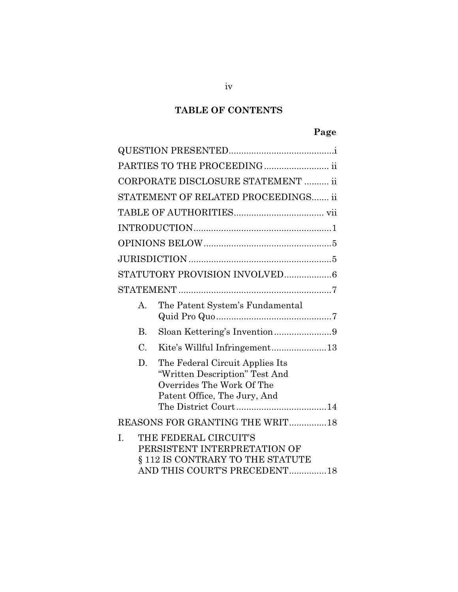# **TABLE OF CONTENTS**

# **Page**

|                 | PARTIES TO THE PROCEEDING ii                                                                                                   |
|-----------------|--------------------------------------------------------------------------------------------------------------------------------|
|                 | CORPORATE DISCLOSURE STATEMENT  ii                                                                                             |
|                 | STATEMENT OF RELATED PROCEEDINGS ii                                                                                            |
|                 |                                                                                                                                |
|                 |                                                                                                                                |
|                 |                                                                                                                                |
|                 |                                                                                                                                |
|                 |                                                                                                                                |
|                 |                                                                                                                                |
| $\mathsf{A}$ .  | The Patent System's Fundamental                                                                                                |
| <b>B.</b>       |                                                                                                                                |
| $\mathcal{C}$ . | Kite's Willful Infringement13                                                                                                  |
| D.              | The Federal Circuit Applies Its<br>"Written Description" Test And<br>Overrides The Work Of The<br>Patent Office, The Jury, And |
|                 | REASONS FOR GRANTING THE WRIT18                                                                                                |
| I.              | THE FEDERAL CIRCUIT'S<br>PERSISTENT INTERPRETATION OF<br>§ 112 IS CONTRARY TO THE STATUTE<br>AND THIS COURT'S PRECEDENT18      |

iv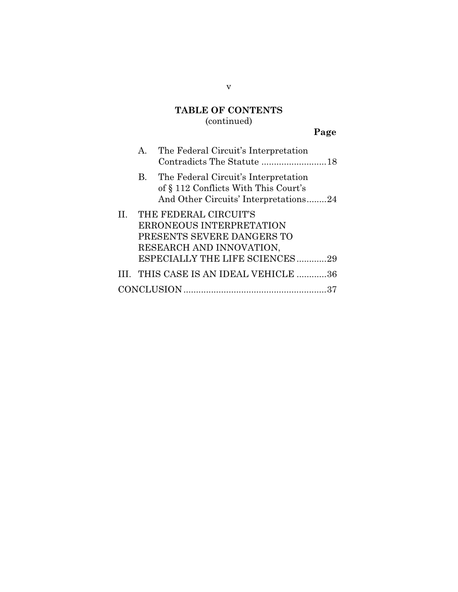# **TABLE OF CONTENTS**

## (continued)

# **Page**

|    | $A_{\cdot}$ | The Federal Circuit's Interpretation                                                                                                          |  |
|----|-------------|-----------------------------------------------------------------------------------------------------------------------------------------------|--|
|    | <b>B.</b>   | The Federal Circuit's Interpretation<br>of § 112 Conflicts With This Court's<br>And Other Circuits' Interpretations24                         |  |
| H. |             | THE FEDERAL CIRCUIT'S<br>ERRONEOUS INTERPRETATION<br>PRESENTS SEVERE DANGERS TO<br>RESEARCH AND INNOVATION,<br>ESPECIALLY THE LIFE SCIENCES29 |  |
|    |             | III. THIS CASE IS AN IDEAL VEHICLE 36                                                                                                         |  |
|    |             | <b>CONCLUSION</b>                                                                                                                             |  |

v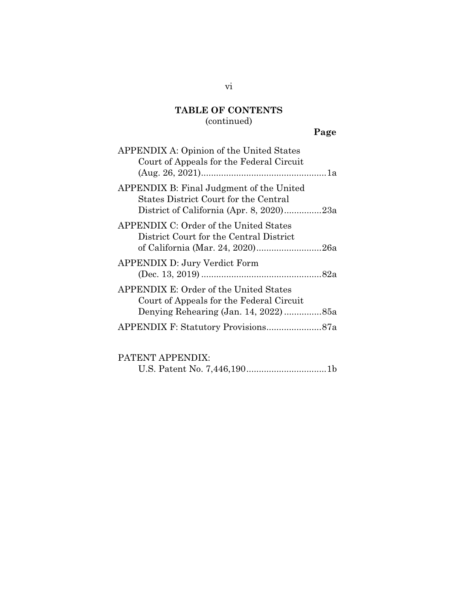## **TABLE OF CONTENTS**

## (continued)

## **Page**

| <b>APPENDIX A: Opinion of the United States</b><br>Court of Appeals for the Federal Circuit                                   |
|-------------------------------------------------------------------------------------------------------------------------------|
| APPENDIX B: Final Judgment of the United<br>States District Court for the Central<br>District of California (Apr. 8, 2020)23a |
| APPENDIX C: Order of the United States<br>District Court for the Central District                                             |
| <b>APPENDIX D: Jury Verdict Form</b>                                                                                          |
| APPENDIX E: Order of the United States<br>Court of Appeals for the Federal Circuit                                            |
|                                                                                                                               |

### PATENT APPENDIX:

U.S. Patent No. 7,446,190 ................................ 1b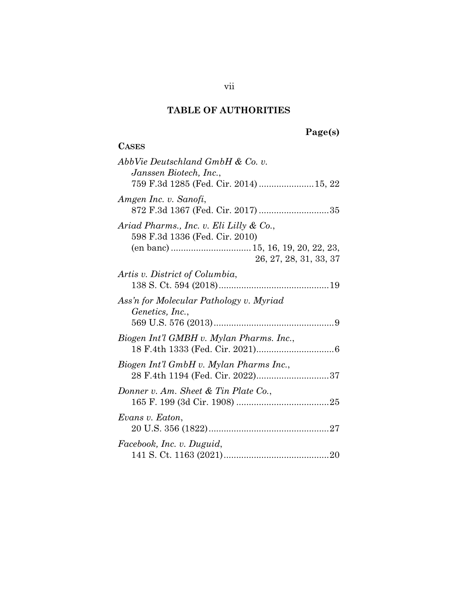**CASES**

# **Page(s)**

| AbbVie Deutschland GmbH & Co. v.<br>Janssen Biotech, Inc.,<br>759 F.3d 1285 (Fed. Cir. 2014)  15, 22 |
|------------------------------------------------------------------------------------------------------|
| Amgen Inc. v. Sanofi,<br>872 F.3d 1367 (Fed. Cir. 2017) 35                                           |
| Ariad Pharms., Inc. v. Eli Lilly & Co.,<br>598 F.3d 1336 (Fed. Cir. 2010)<br>26, 27, 28, 31, 33, 37  |
| Artis v. District of Columbia,                                                                       |
| Ass'n for Molecular Pathology v. Myriad<br>Genetics, Inc.,                                           |
| Biogen Int'l GMBH v. Mylan Pharms. Inc.,                                                             |
| Biogen Int'l GmbH v. Mylan Pharms Inc.,                                                              |
| Donner v. Am. Sheet & Tin Plate Co.,                                                                 |
| Evans v. Eaton,                                                                                      |
| Facebook, Inc. v. Duguid,                                                                            |

vii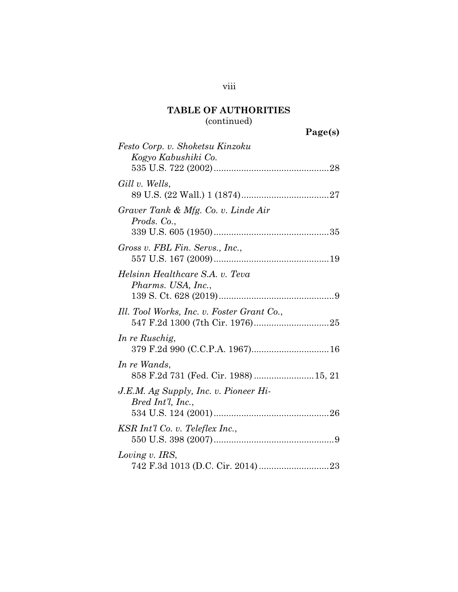# (continued)

| Page(s) |
|---------|
|---------|

| Festo Corp. v. Shoketsu Kinzoku                            |
|------------------------------------------------------------|
| Kogyo Kabushiki Co.                                        |
| Gill v. Wells,                                             |
| Graver Tank & Mfg. Co. v. Linde Air<br>Prods. Co.,         |
| Gross v. FBL Fin. Servs., Inc.,                            |
| Helsinn Healthcare S.A. v. Teva<br>Pharms. USA, Inc.,      |
| Ill. Tool Works, Inc. v. Foster Grant Co.,                 |
| In re Ruschig,                                             |
| In re Wands,<br>858 F.2d 731 (Fed. Cir. 1988)  15, 21      |
| J.E.M. Ag Supply, Inc. v. Pioneer Hi-<br>Bred Int'l, Inc., |
| $KSR$ Int'l Co. v. Teleflex Inc.,                          |
| Loving v. IRS,                                             |

viii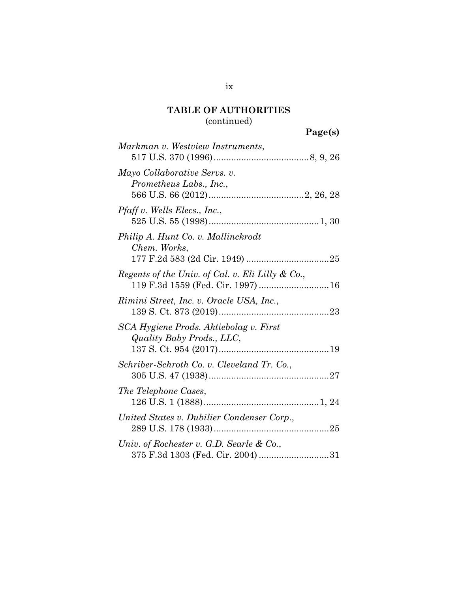## (continued)

| Page(s) |
|---------|
|---------|

| Markman v. Westview Instruments,                                                 |
|----------------------------------------------------------------------------------|
| Mayo Collaborative Servs. v.<br>Prometheus Labs., Inc.,                          |
| Pfaff v. Wells Elecs., Inc.,                                                     |
| Philip A. Hunt Co. v. Mallinckrodt<br>Chem. Works,                               |
| Regents of the Univ. of Cal. v. Eli Lilly & Co.,                                 |
| Rimini Street, Inc. v. Oracle USA, Inc.,                                         |
| SCA Hygiene Prods. Aktiebolag v. First<br>Quality Baby Prods., LLC,              |
| Schriber-Schroth Co. v. Cleveland Tr. Co.,                                       |
| The Telephone Cases,                                                             |
| United States v. Dubilier Condenser Corp.,                                       |
| Univ. of Rochester v. G.D. Searle $\&$ Co.,<br>375 F.3d 1303 (Fed. Cir. 2004) 31 |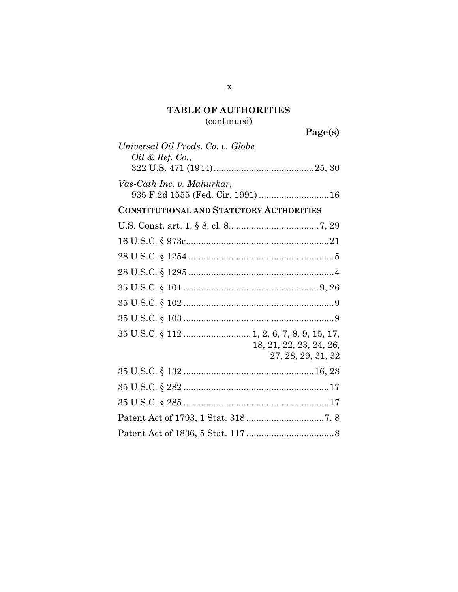## (continued)

| Universal Oil Prods. Co. v. Globe                                |
|------------------------------------------------------------------|
| <i>Oil &amp; Ref.</i> Co.,                                       |
|                                                                  |
| Vas-Cath Inc. v. Mahurkar,<br>935 F.2d 1555 (Fed. Cir. 1991)  16 |
|                                                                  |
| <b>CONSTITUTIONAL AND STATUTORY AUTHORITIES</b>                  |
|                                                                  |
|                                                                  |
|                                                                  |
|                                                                  |
|                                                                  |
|                                                                  |
|                                                                  |
| 18, 21, 22, 23, 24, 26,<br>27, 28, 29, 31, 32                    |
|                                                                  |
|                                                                  |
|                                                                  |
|                                                                  |
|                                                                  |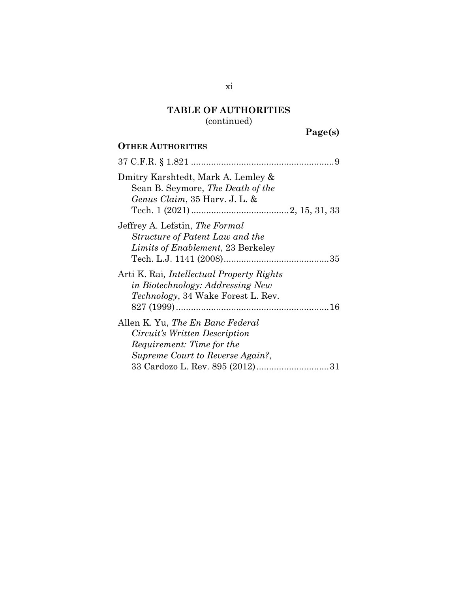(continued)

**Page(s)**

# **OTHER AUTHORITIES**

| Dmitry Karshtedt, Mark A. Lemley &<br>Sean B. Seymore, The Death of the<br>Genus Claim, 35 Harv. J. L. &                                         |
|--------------------------------------------------------------------------------------------------------------------------------------------------|
| Jeffrey A. Lefstin, The Formal<br>Structure of Patent Law and the<br>Limits of Enablement, 23 Berkeley                                           |
| Arti K. Rai, <i>Intellectual Property Rights</i><br>in Biotechnology: Addressing New<br><i>Technology</i> , 34 Wake Forest L. Rev.               |
| Allen K. Yu, <i>The En Banc Federal</i><br>Circuit's Written Description<br><i>Requirement: Time for the</i><br>Supreme Court to Reverse Again?, |
|                                                                                                                                                  |

xi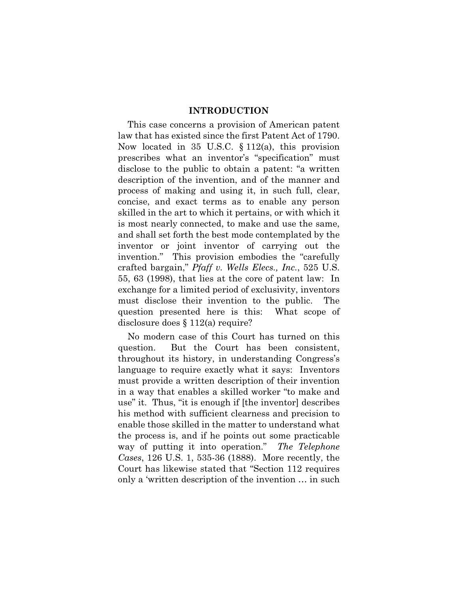#### **INTRODUCTION**

This case concerns a provision of American patent law that has existed since the first Patent Act of 1790. Now located in 35 U.S.C. § 112(a), this provision prescribes what an inventor's "specification" must disclose to the public to obtain a patent: "a written description of the invention, and of the manner and process of making and using it, in such full, clear, concise, and exact terms as to enable any person skilled in the art to which it pertains, or with which it is most nearly connected, to make and use the same, and shall set forth the best mode contemplated by the inventor or joint inventor of carrying out the invention." This provision embodies the "carefully crafted bargain," *Pfaff v. Wells Elecs., Inc.*, 525 U.S. 55, 63 (1998), that lies at the core of patent law: In exchange for a limited period of exclusivity, inventors must disclose their invention to the public. The question presented here is this: What scope of disclosure does § 112(a) require?

No modern case of this Court has turned on this question. But the Court has been consistent, throughout its history, in understanding Congress's language to require exactly what it says: Inventors must provide a written description of their invention in a way that enables a skilled worker "to make and use" it. Thus, "it is enough if [the inventor] describes his method with sufficient clearness and precision to enable those skilled in the matter to understand what the process is, and if he points out some practicable way of putting it into operation." *The Telephone Cases*, 126 U.S. 1, 535-36 (1888). More recently, the Court has likewise stated that "Section 112 requires only a 'written description of the invention … in such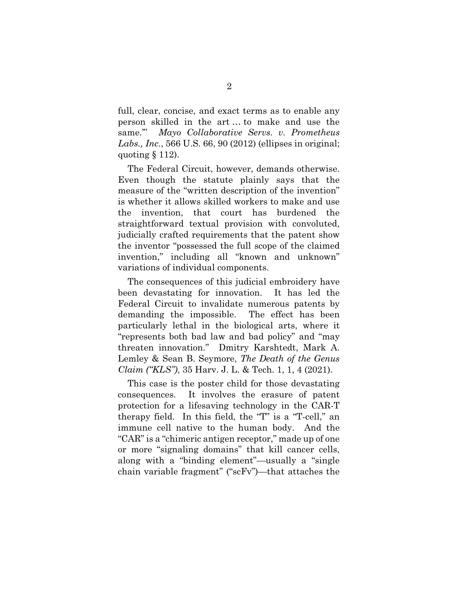full, clear, concise, and exact terms as to enable any person skilled in the art … to make and use the same.'" *Mayo Collaborative Servs. v. Prometheus Labs., Inc.*, 566 U.S. 66, 90 (2012) (ellipses in original; quoting § 112).

The Federal Circuit, however, demands otherwise. Even though the statute plainly says that the measure of the "written description of the invention" is whether it allows skilled workers to make and use the invention, that court has burdened the straightforward textual provision with convoluted, judicially crafted requirements that the patent show the inventor "possessed the full scope of the claimed invention," including all "known and unknown" variations of individual components.

The consequences of this judicial embroidery have been devastating for innovation. It has led the Federal Circuit to invalidate numerous patents by demanding the impossible. The effect has been particularly lethal in the biological arts, where it "represents both bad law and bad policy" and "may threaten innovation." Dmitry Karshtedt, Mark A. Lemley & Sean B. Seymore, *The Death of the Genus Claim ("KLS")*, 35 Harv. J. L. & Tech. 1, 1, 4 (2021).

This case is the poster child for those devastating consequences. It involves the erasure of patent protection for a lifesaving technology in the CAR-T therapy field. In this field, the "T" is a "T-cell," an immune cell native to the human body. And the "CAR" is a "chimeric antigen receptor," made up of one or more "signaling domains" that kill cancer cells, along with a "binding element"—usually a "single chain variable fragment" ("scFv")—that attaches the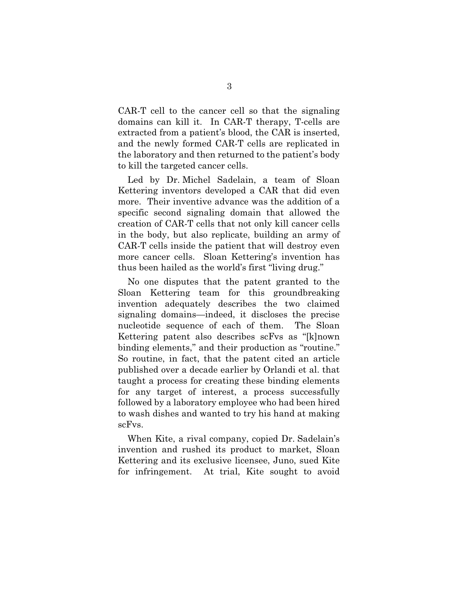CAR-T cell to the cancer cell so that the signaling domains can kill it. In CAR-T therapy, T-cells are extracted from a patient's blood, the CAR is inserted, and the newly formed CAR-T cells are replicated in the laboratory and then returned to the patient's body to kill the targeted cancer cells.

Led by Dr. Michel Sadelain, a team of Sloan Kettering inventors developed a CAR that did even more. Their inventive advance was the addition of a specific second signaling domain that allowed the creation of CAR-T cells that not only kill cancer cells in the body, but also replicate, building an army of CAR-T cells inside the patient that will destroy even more cancer cells. Sloan Kettering's invention has thus been hailed as the world's first "living drug."

No one disputes that the patent granted to the Sloan Kettering team for this groundbreaking invention adequately describes the two claimed signaling domains—indeed, it discloses the precise nucleotide sequence of each of them. The Sloan Kettering patent also describes scFvs as "[k]nown binding elements," and their production as "routine." So routine, in fact, that the patent cited an article published over a decade earlier by Orlandi et al. that taught a process for creating these binding elements for any target of interest, a process successfully followed by a laboratory employee who had been hired to wash dishes and wanted to try his hand at making scFvs.

When Kite, a rival company, copied Dr. Sadelain's invention and rushed its product to market, Sloan Kettering and its exclusive licensee, Juno, sued Kite for infringement. At trial, Kite sought to avoid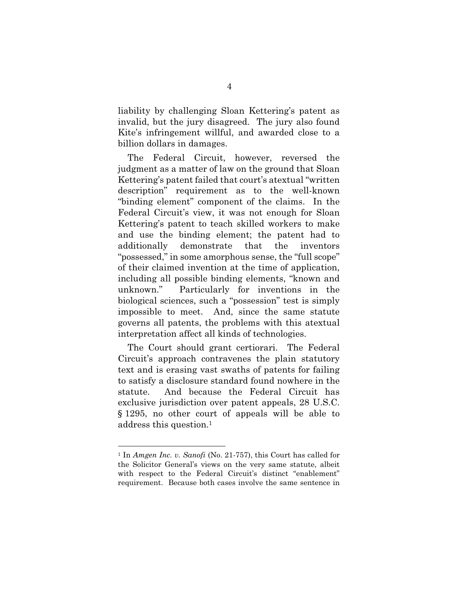liability by challenging Sloan Kettering's patent as invalid, but the jury disagreed. The jury also found Kite's infringement willful, and awarded close to a billion dollars in damages.

The Federal Circuit, however, reversed the judgment as a matter of law on the ground that Sloan Kettering's patent failed that court's atextual "written description" requirement as to the well-known "binding element" component of the claims. In the Federal Circuit's view, it was not enough for Sloan Kettering's patent to teach skilled workers to make and use the binding element; the patent had to additionally demonstrate that the inventors "possessed," in some amorphous sense, the "full scope" of their claimed invention at the time of application, including all possible binding elements, "known and unknown." Particularly for inventions in the biological sciences, such a "possession" test is simply impossible to meet. And, since the same statute governs all patents, the problems with this atextual interpretation affect all kinds of technologies.

The Court should grant certiorari. The Federal Circuit's approach contravenes the plain statutory text and is erasing vast swaths of patents for failing to satisfy a disclosure standard found nowhere in the statute. And because the Federal Circuit has exclusive jurisdiction over patent appeals, 28 U.S.C. § 1295, no other court of appeals will be able to address this question.1

<sup>1</sup> In *Amgen Inc. v. Sanofi* (No. 21-757), this Court has called for the Solicitor General's views on the very same statute, albeit with respect to the Federal Circuit's distinct "enablement" requirement. Because both cases involve the same sentence in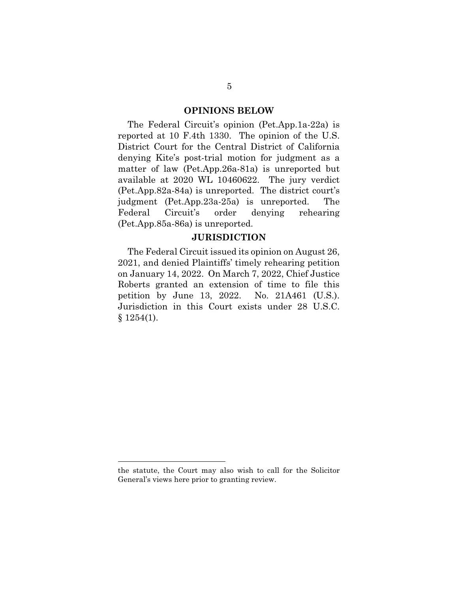#### **OPINIONS BELOW**

The Federal Circuit's opinion (Pet.App.1a-22a) is reported at 10 F.4th 1330. The opinion of the U.S. District Court for the Central District of California denying Kite's post-trial motion for judgment as a matter of law (Pet.App.26a-81a) is unreported but available at 2020 WL 10460622. The jury verdict (Pet.App.82a-84a) is unreported. The district court's judgment (Pet.App.23a-25a) is unreported. The Federal Circuit's order denying rehearing (Pet.App.85a-86a) is unreported.

#### **JURISDICTION**

The Federal Circuit issued its opinion on August 26, 2021, and denied Plaintiffs' timely rehearing petition on January 14, 2022. On March 7, 2022, Chief Justice Roberts granted an extension of time to file this petition by June 13, 2022. No. 21A461 (U.S.). Jurisdiction in this Court exists under 28 U.S.C.  $§ 1254(1).$ 

the statute, the Court may also wish to call for the Solicitor General's views here prior to granting review.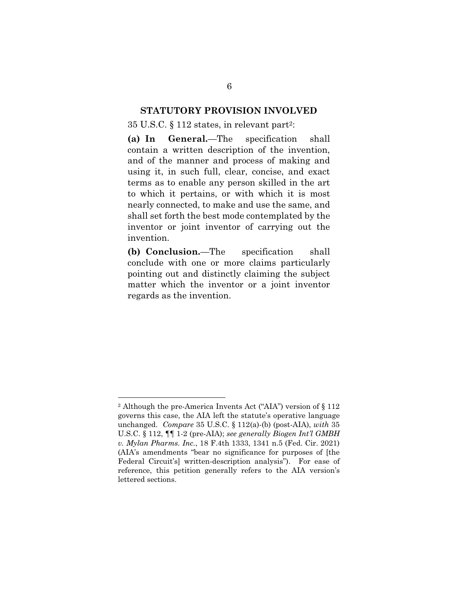#### **STATUTORY PROVISION INVOLVED**

#### 35 U.S.C. § 112 states, in relevant part2:

**(a) In General.**—The specification shall contain a written description of the invention, and of the manner and process of making and using it, in such full, clear, concise, and exact terms as to enable any person skilled in the art to which it pertains, or with which it is most nearly connected, to make and use the same, and shall set forth the best mode contemplated by the inventor or joint inventor of carrying out the invention.

**(b) Conclusion.**—The specification shall conclude with one or more claims particularly pointing out and distinctly claiming the subject matter which the inventor or a joint inventor regards as the invention.

<sup>2</sup> Although the pre-America Invents Act ("AIA") version of § 112 governs this case, the AIA left the statute's operative language unchanged. *Compare* 35 U.S.C. § 112(a)-(b) (post-AIA), *with* 35 U.S.C. § 112, ¶¶ 1-2 (pre-AIA); *see generally Biogen Int'l GMBH v. Mylan Pharms. Inc.*, 18 F.4th 1333, 1341 n.5 (Fed. Cir. 2021) (AIA's amendments "bear no significance for purposes of [the Federal Circuit's] written-description analysis"). For ease of reference, this petition generally refers to the AIA version's lettered sections.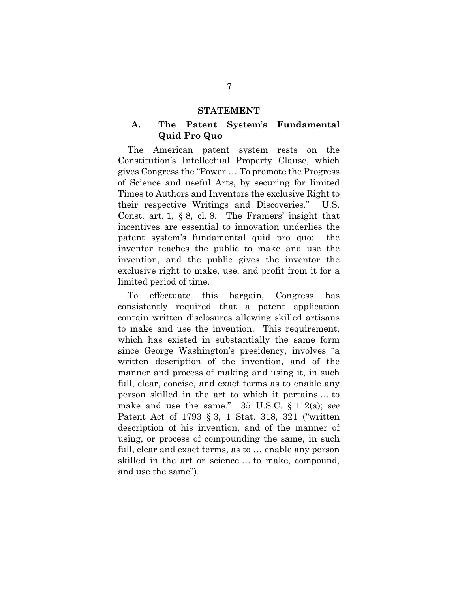#### **STATEMENT**

#### **A. The Patent System's Fundamental Quid Pro Quo**

The American patent system rests on the Constitution's Intellectual Property Clause, which gives Congress the "Power … To promote the Progress of Science and useful Arts, by securing for limited Times to Authors and Inventors the exclusive Right to their respective Writings and Discoveries." U.S. Const. art. 1, § 8, cl. 8. The Framers' insight that incentives are essential to innovation underlies the patent system's fundamental quid pro quo: the inventor teaches the public to make and use the invention, and the public gives the inventor the exclusive right to make, use, and profit from it for a limited period of time.

To effectuate this bargain, Congress has consistently required that a patent application contain written disclosures allowing skilled artisans to make and use the invention. This requirement, which has existed in substantially the same form since George Washington's presidency, involves "a written description of the invention, and of the manner and process of making and using it, in such full, clear, concise, and exact terms as to enable any person skilled in the art to which it pertains … to make and use the same." 35 U.S.C. § 112(a); *see* Patent Act of 1793 § 3, 1 Stat. 318, 321 ("written description of his invention, and of the manner of using, or process of compounding the same, in such full, clear and exact terms, as to … enable any person skilled in the art or science … to make, compound, and use the same").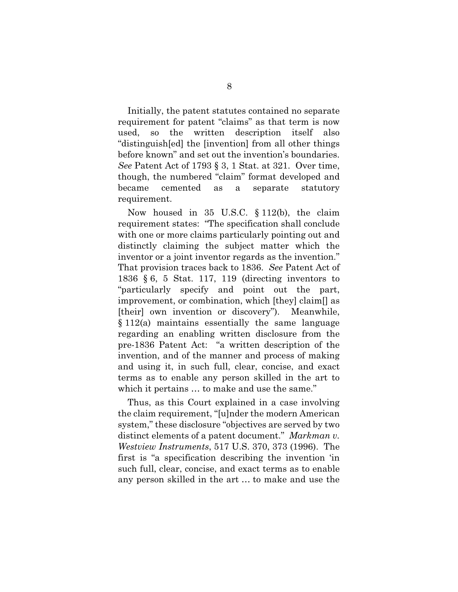Initially, the patent statutes contained no separate requirement for patent "claims" as that term is now used, so the written description itself also "distinguish[ed] the [invention] from all other things before known" and set out the invention's boundaries. *See* Patent Act of 1793 § 3, 1 Stat. at 321. Over time, though, the numbered "claim" format developed and became cemented as a separate statutory requirement.

Now housed in 35 U.S.C. § 112(b), the claim requirement states: "The specification shall conclude with one or more claims particularly pointing out and distinctly claiming the subject matter which the inventor or a joint inventor regards as the invention." That provision traces back to 1836. *See* Patent Act of 1836 § 6, 5 Stat. 117, 119 (directing inventors to "particularly specify and point out the part, improvement, or combination, which [they] claim[] as [their] own invention or discovery"). Meanwhile, § 112(a) maintains essentially the same language regarding an enabling written disclosure from the pre-1836 Patent Act: "a written description of the invention, and of the manner and process of making and using it, in such full, clear, concise, and exact terms as to enable any person skilled in the art to which it pertains  $\dots$  to make and use the same."

Thus, as this Court explained in a case involving the claim requirement, "[u]nder the modern American system," these disclosure "objectives are served by two distinct elements of a patent document." *Markman v. Westview Instruments*, 517 U.S. 370, 373 (1996). The first is "a specification describing the invention 'in such full, clear, concise, and exact terms as to enable any person skilled in the art … to make and use the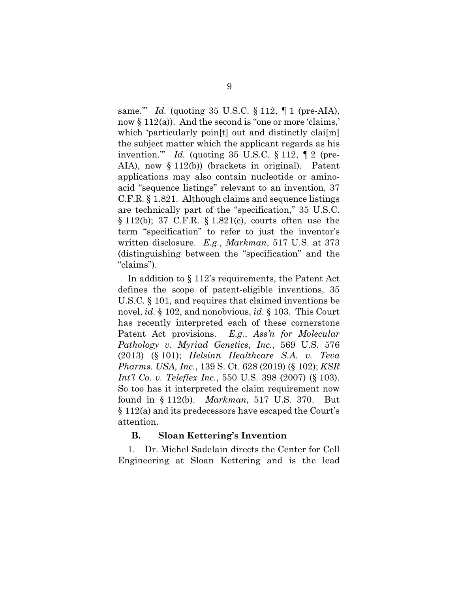same.'" *Id.* (quoting 35 U.S.C. § 112, ¶ 1 (pre-AIA), now  $\S 112(a)$ ). And the second is "one or more 'claims," which 'particularly poin[t] out and distinctly clai[m] the subject matter which the applicant regards as his invention." *Id.* (quoting 35 U.S.C.  $\S 112$ ,  $\P 2$  (pre-AIA), now § 112(b)) (brackets in original). Patent applications may also contain nucleotide or aminoacid "sequence listings" relevant to an invention, 37 C.F.R. § 1.821. Although claims and sequence listings are technically part of the "specification," 35 U.S.C. § 112(b); 37 C.F.R. § 1.821(c), courts often use the term "specification" to refer to just the inventor's written disclosure. *E.g.*, *Markman*, 517 U.S. at 373 (distinguishing between the "specification" and the "claims").

In addition to § 112's requirements, the Patent Act defines the scope of patent-eligible inventions, 35 U.S.C. § 101, and requires that claimed inventions be novel, *id.* § 102, and nonobvious, *id.* § 103. This Court has recently interpreted each of these cornerstone Patent Act provisions. *E.g.*, *Ass'n for Molecular Pathology v. Myriad Genetics, Inc.*, 569 U.S. 576 (2013) (§ 101); *Helsinn Healthcare S.A. v. Teva Pharms. USA, Inc.*, 139 S. Ct. 628 (2019) (§ 102); *KSR Int'l Co. v. Teleflex Inc.*, 550 U.S. 398 (2007) (§ 103). So too has it interpreted the claim requirement now found in § 112(b). *Markman*, 517 U.S. 370. But § 112(a) and its predecessors have escaped the Court's attention.

#### **B. Sloan Kettering's Invention**

1. Dr. Michel Sadelain directs the Center for Cell Engineering at Sloan Kettering and is the lead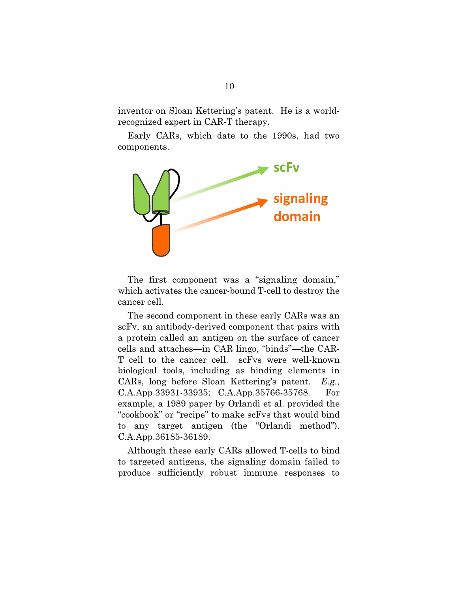inventor on Sloan Kettering's patent. He is a worldrecognized expert in CAR-T therapy.

Early CARs, which date to the 1990s, had two components.



The first component was a "signaling domain," which activates the cancer-bound T-cell to destroy the cancer cell.

The second component in these early CARs was an scFv, an antibody-derived component that pairs with a protein called an antigen on the surface of cancer cells and attaches—in CAR lingo, "binds"—the CAR-T cell to the cancer cell. scFvs were well-known biological tools, including as binding elements in CARs, long before Sloan Kettering's patent. *E.g.*, C.A.App.33931-33935; C.A.App.35766-35768. For example, a 1989 paper by Orlandi et al. provided the "cookbook" or "recipe" to make scFvs that would bind to any target antigen (the "Orlandi method"). C.A.App.36185-36189.

Although these early CARs allowed T-cells to bind to targeted antigens, the signaling domain failed to produce sufficiently robust immune responses to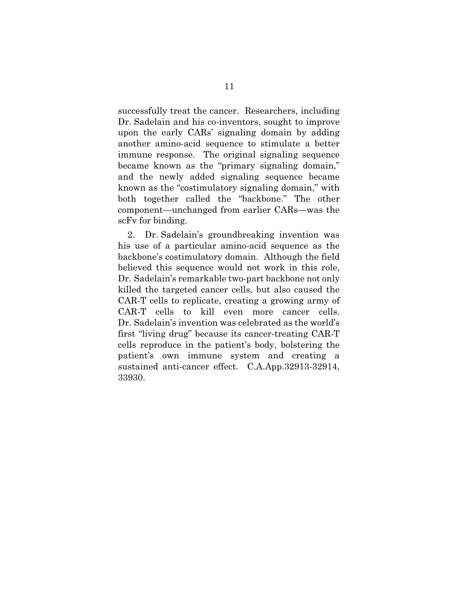successfully treat the cancer. Researchers, including Dr. Sadelain and his co-inventors, sought to improve upon the early CARs' signaling domain by adding another amino-acid sequence to stimulate a better immune response. The original signaling sequence became known as the "primary signaling domain," and the newly added signaling sequence became known as the "costimulatory signaling domain," with both together called the "backbone." The other component—unchanged from earlier CARs—was the scFv for binding.

2. Dr. Sadelain's groundbreaking invention was his use of a particular amino-acid sequence as the backbone's costimulatory domain. Although the field believed this sequence would not work in this role, Dr. Sadelain's remarkable two-part backbone not only killed the targeted cancer cells, but also caused the CAR-T cells to replicate, creating a growing army of CAR-T cells to kill even more cancer cells. Dr. Sadelain's invention was celebrated as the world's first "living drug" because its cancer-treating CAR-T cells reproduce in the patient's body, bolstering the patient's own immune system and creating a sustained anti-cancer effect. C.A.App.32913-32914, 33930.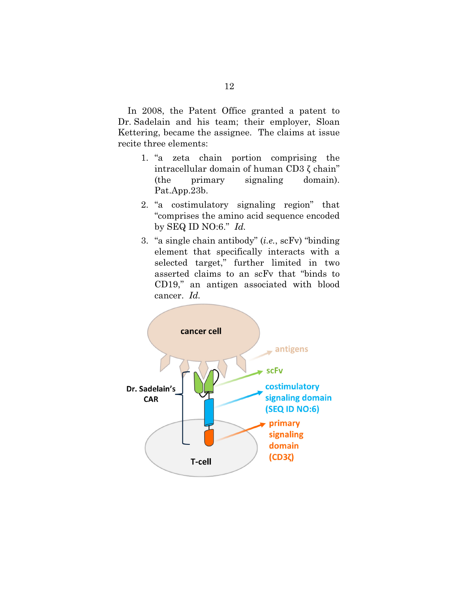In 2008, the Patent Office granted a patent to Dr. Sadelain and his team; their employer, Sloan Kettering, became the assignee. The claims at issue recite three elements:

- 1. "a zeta chain portion comprising the intracellular domain of human CD3 ζ chain" (the primary signaling domain). Pat.App.23b.
- 2. "a costimulatory signaling region" that "comprises the amino acid sequence encoded by SEQ ID NO:6." *Id.*
- 3. "a single chain antibody" (*i.e.*, scFv) "binding element that specifically interacts with a selected target," further limited in two asserted claims to an scFv that "binds to CD19," an antigen associated with blood cancer. *Id.*

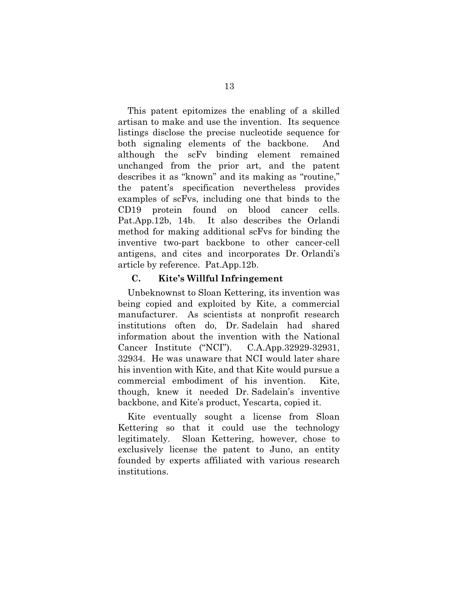This patent epitomizes the enabling of a skilled artisan to make and use the invention. Its sequence listings disclose the precise nucleotide sequence for both signaling elements of the backbone. And although the scFv binding element remained unchanged from the prior art, and the patent describes it as "known" and its making as "routine," the patent's specification nevertheless provides examples of scFvs, including one that binds to the CD19 protein found on blood cancer cells. Pat.App.12b, 14b. It also describes the Orlandi method for making additional scFvs for binding the inventive two-part backbone to other cancer-cell antigens, and cites and incorporates Dr. Orlandi's article by reference. Pat.App.12b.

#### **C. Kite's Willful Infringement**

Unbeknownst to Sloan Kettering, its invention was being copied and exploited by Kite, a commercial manufacturer. As scientists at nonprofit research institutions often do, Dr. Sadelain had shared information about the invention with the National Cancer Institute ("NCI"). C.A.App.32929-32931, 32934. He was unaware that NCI would later share his invention with Kite, and that Kite would pursue a commercial embodiment of his invention. Kite, though, knew it needed Dr. Sadelain's inventive backbone, and Kite's product, Yescarta, copied it.

Kite eventually sought a license from Sloan Kettering so that it could use the technology legitimately. Sloan Kettering, however, chose to exclusively license the patent to Juno, an entity founded by experts affiliated with various research institutions.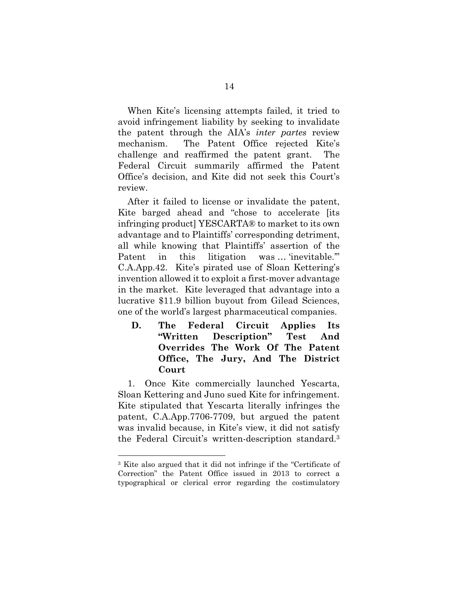When Kite's licensing attempts failed, it tried to avoid infringement liability by seeking to invalidate the patent through the AIA's *inter partes* review mechanism. The Patent Office rejected Kite's challenge and reaffirmed the patent grant. The Federal Circuit summarily affirmed the Patent Office's decision, and Kite did not seek this Court's review.

After it failed to license or invalidate the patent, Kite barged ahead and "chose to accelerate [its infringing product] YESCARTA® to market to its own advantage and to Plaintiffs' corresponding detriment, all while knowing that Plaintiffs' assertion of the Patent in this litigation was ... 'inevitable." C.A.App.42. Kite's pirated use of Sloan Kettering's invention allowed it to exploit a first-mover advantage in the market. Kite leveraged that advantage into a lucrative \$11.9 billion buyout from Gilead Sciences, one of the world's largest pharmaceutical companies.

**D. The Federal Circuit Applies Its "Written Description" Test And Overrides The Work Of The Patent Office, The Jury, And The District Court** 

1. Once Kite commercially launched Yescarta, Sloan Kettering and Juno sued Kite for infringement. Kite stipulated that Yescarta literally infringes the patent, C.A.App.7706-7709, but argued the patent was invalid because, in Kite's view, it did not satisfy the Federal Circuit's written-description standard.3

<sup>3</sup> Kite also argued that it did not infringe if the "Certificate of Correction" the Patent Office issued in 2013 to correct a typographical or clerical error regarding the costimulatory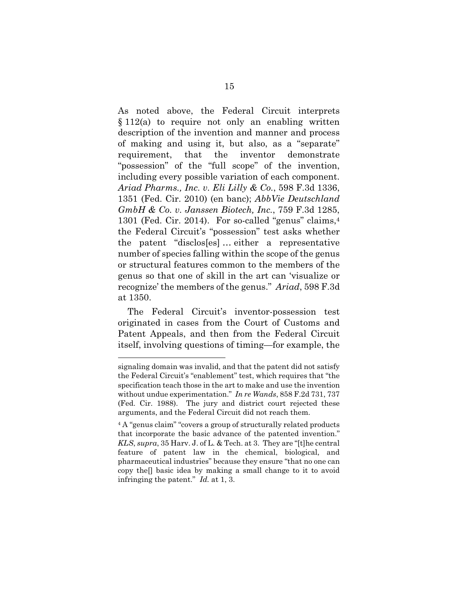As noted above, the Federal Circuit interprets  $§ 112(a)$  to require not only an enabling written description of the invention and manner and process of making and using it, but also, as a "separate" requirement, that the inventor demonstrate "possession" of the "full scope" of the invention, including every possible variation of each component. *Ariad Pharms., Inc. v. Eli Lilly & Co.*, 598 F.3d 1336, 1351 (Fed. Cir. 2010) (en banc); *AbbVie Deutschland GmbH & Co. v. Janssen Biotech, Inc.*, 759 F.3d 1285, 1301 (Fed. Cir. 2014). For so-called "genus" claims,<sup>4</sup> the Federal Circuit's "possession" test asks whether the patent "disclos[es] … either a representative number of species falling within the scope of the genus or structural features common to the members of the genus so that one of skill in the art can 'visualize or recognize' the members of the genus." *Ariad*, 598 F.3d at 1350.

The Federal Circuit's inventor-possession test originated in cases from the Court of Customs and Patent Appeals, and then from the Federal Circuit itself, involving questions of timing—for example, the

signaling domain was invalid, and that the patent did not satisfy the Federal Circuit's "enablement" test, which requires that "the specification teach those in the art to make and use the invention without undue experimentation." *In re Wands*, 858 F.2d 731, 737 (Fed. Cir. 1988). The jury and district court rejected these arguments, and the Federal Circuit did not reach them.

<sup>4</sup> A "genus claim" "covers a group of structurally related products that incorporate the basic advance of the patented invention." *KLS*, *supra*, 35 Harv. J. of L. & Tech. at 3. They are "[t]he central feature of patent law in the chemical, biological, and pharmaceutical industries" because they ensure "that no one can copy the[] basic idea by making a small change to it to avoid infringing the patent." *Id.* at 1, 3.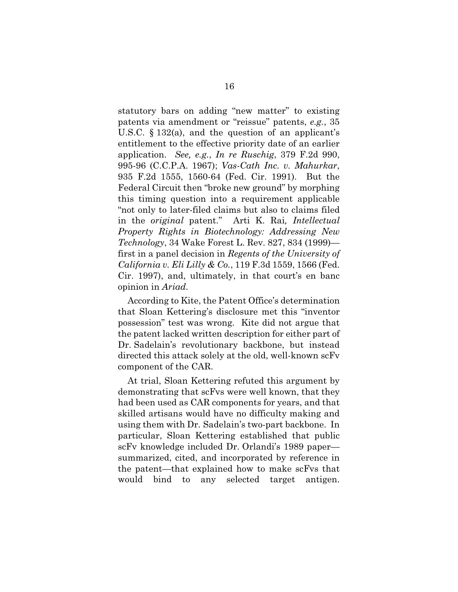statutory bars on adding "new matter" to existing patents via amendment or "reissue" patents, *e.g.*, 35 U.S.C. § 132(a), and the question of an applicant's entitlement to the effective priority date of an earlier application. *See, e.g.*, *In re Ruschig*, 379 F.2d 990, 995-96 (C.C.P.A. 1967); *Vas-Cath Inc. v. Mahurkar*, 935 F.2d 1555, 1560-64 (Fed. Cir. 1991). But the Federal Circuit then "broke new ground" by morphing this timing question into a requirement applicable "not only to later-filed claims but also to claims filed in the *original* patent." Arti K. Rai*, Intellectual Property Rights in Biotechnology: Addressing New Technology*, 34 Wake Forest L. Rev. 827, 834 (1999) first in a panel decision in *Regents of the University of California v. Eli Lilly & Co.*, 119 F.3d 1559, 1566 (Fed. Cir. 1997), and, ultimately, in that court's en banc opinion in *Ariad.* 

According to Kite, the Patent Office's determination that Sloan Kettering's disclosure met this "inventor possession" test was wrong. Kite did not argue that the patent lacked written description for either part of Dr. Sadelain's revolutionary backbone, but instead directed this attack solely at the old, well-known scFv component of the CAR.

At trial, Sloan Kettering refuted this argument by demonstrating that scFvs were well known, that they had been used as CAR components for years, and that skilled artisans would have no difficulty making and using them with Dr. Sadelain's two-part backbone. In particular, Sloan Kettering established that public scFv knowledge included Dr. Orlandi's 1989 paper summarized, cited, and incorporated by reference in the patent—that explained how to make scFvs that would bind to any selected target antigen.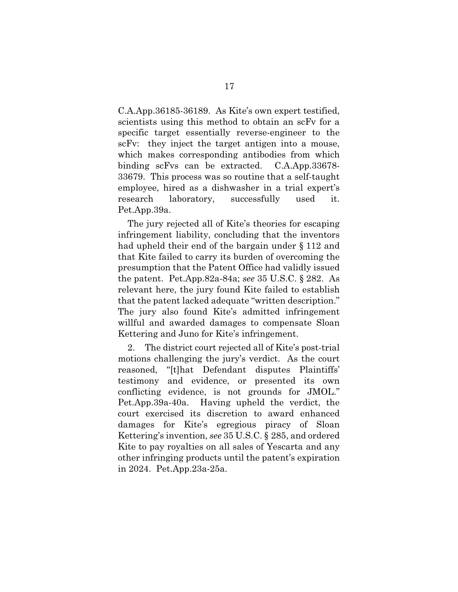C.A.App.36185-36189. As Kite's own expert testified, scientists using this method to obtain an scFv for a specific target essentially reverse-engineer to the scFv: they inject the target antigen into a mouse, which makes corresponding antibodies from which binding scFvs can be extracted. C.A.App.33678- 33679. This process was so routine that a self-taught employee, hired as a dishwasher in a trial expert's research laboratory, successfully used it. Pet.App.39a.

The jury rejected all of Kite's theories for escaping infringement liability, concluding that the inventors had upheld their end of the bargain under § 112 and that Kite failed to carry its burden of overcoming the presumption that the Patent Office had validly issued the patent. Pet.App.82a-84a; *see* 35 U.S.C. § 282. As relevant here, the jury found Kite failed to establish that the patent lacked adequate "written description." The jury also found Kite's admitted infringement willful and awarded damages to compensate Sloan Kettering and Juno for Kite's infringement.

2. The district court rejected all of Kite's post-trial motions challenging the jury's verdict. As the court reasoned, "[t]hat Defendant disputes Plaintiffs' testimony and evidence, or presented its own conflicting evidence, is not grounds for JMOL." Pet.App.39a-40a. Having upheld the verdict, the court exercised its discretion to award enhanced damages for Kite's egregious piracy of Sloan Kettering's invention, *see* 35 U.S.C. § 285, and ordered Kite to pay royalties on all sales of Yescarta and any other infringing products until the patent's expiration in 2024. Pet.App.23a-25a.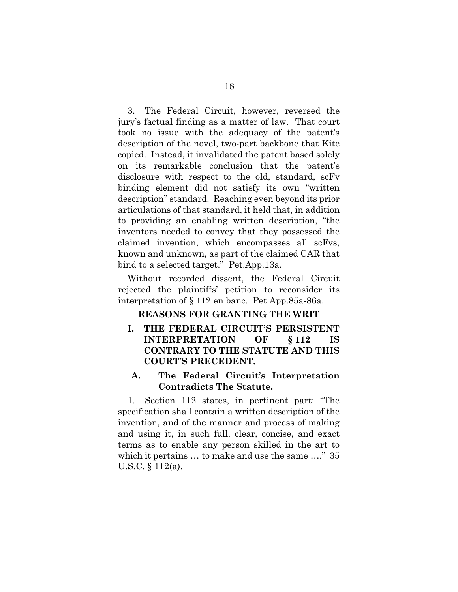3. The Federal Circuit, however, reversed the jury's factual finding as a matter of law. That court took no issue with the adequacy of the patent's description of the novel, two-part backbone that Kite copied. Instead, it invalidated the patent based solely on its remarkable conclusion that the patent's disclosure with respect to the old, standard, scFv binding element did not satisfy its own "written description" standard. Reaching even beyond its prior articulations of that standard, it held that, in addition to providing an enabling written description, "the inventors needed to convey that they possessed the claimed invention, which encompasses all scFvs, known and unknown, as part of the claimed CAR that bind to a selected target." Pet.App.13a.

Without recorded dissent, the Federal Circuit rejected the plaintiffs' petition to reconsider its interpretation of § 112 en banc. Pet.App.85a-86a.

#### **REASONS FOR GRANTING THE WRIT**

**I. THE FEDERAL CIRCUIT'S PERSISTENT INTERPRETATION OF § 112 IS CONTRARY TO THE STATUTE AND THIS COURT'S PRECEDENT.** 

### **A. The Federal Circuit's Interpretation Contradicts The Statute.**

1. Section 112 states, in pertinent part: "The specification shall contain a written description of the invention, and of the manner and process of making and using it, in such full, clear, concise, and exact terms as to enable any person skilled in the art to which it pertains ... to make and use the same ...." 35 U.S.C. § 112(a).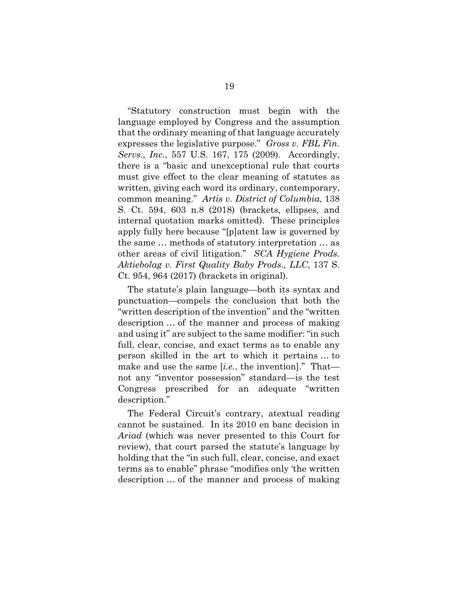"Statutory construction must begin with the language employed by Congress and the assumption that the ordinary meaning of that language accurately expresses the legislative purpose." *Gross v. FBL Fin. Servs., Inc.*, 557 U.S. 167, 175 (2009). Accordingly, there is a "basic and unexceptional rule that courts must give effect to the clear meaning of statutes as written, giving each word its ordinary, contemporary, common meaning." *Artis v. District of Columbia*, 138 S. Ct. 594, 603 n.8 (2018) (brackets, ellipses, and internal quotation marks omitted). These principles apply fully here because "[p]atent law is governed by the same … methods of statutory interpretation … as other areas of civil litigation." *SCA Hygiene Prods. Aktiebolag v. First Quality Baby Prods., LLC*, 137 S. Ct. 954, 964 (2017) (brackets in original).

The statute's plain language—both its syntax and punctuation—compels the conclusion that both the "written description of the invention" and the "written description … of the manner and process of making and using it" are subject to the same modifier: "in such full, clear, concise, and exact terms as to enable any person skilled in the art to which it pertains … to make and use the same [*i.e.*, the invention]." That not any "inventor possession" standard—is the test Congress prescribed for an adequate "written description."

The Federal Circuit's contrary, atextual reading cannot be sustained. In its 2010 en banc decision in *Ariad* (which was never presented to this Court for review), that court parsed the statute's language by holding that the "in such full, clear, concise, and exact terms as to enable" phrase "modifies only 'the written description … of the manner and process of making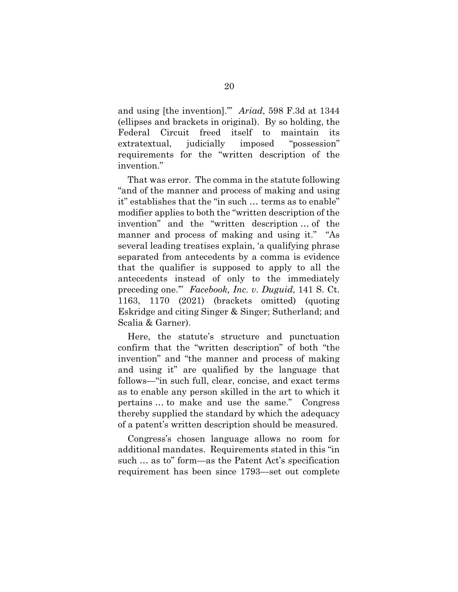and using [the invention].'" *Ariad*, 598 F.3d at 1344 (ellipses and brackets in original). By so holding, the Federal Circuit freed itself to maintain its extratextual, judicially imposed "possession" requirements for the "written description of the invention."

That was error. The comma in the statute following "and of the manner and process of making and using it" establishes that the "in such … terms as to enable" modifier applies to both the "written description of the invention" and the "written description … of the manner and process of making and using it." "As several leading treatises explain, 'a qualifying phrase separated from antecedents by a comma is evidence that the qualifier is supposed to apply to all the antecedents instead of only to the immediately preceding one.'" *Facebook, Inc. v. Duguid*, 141 S. Ct. 1163, 1170 (2021) (brackets omitted) (quoting Eskridge and citing Singer & Singer; Sutherland; and Scalia & Garner).

Here, the statute's structure and punctuation confirm that the "written description" of both "the invention" and "the manner and process of making and using it" are qualified by the language that follows—"in such full, clear, concise, and exact terms as to enable any person skilled in the art to which it pertains … to make and use the same." Congress thereby supplied the standard by which the adequacy of a patent's written description should be measured.

Congress's chosen language allows no room for additional mandates. Requirements stated in this "in such … as to" form—as the Patent Act's specification requirement has been since 1793—set out complete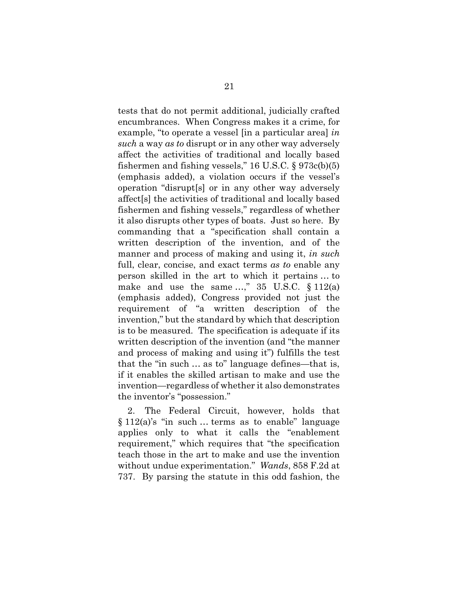tests that do not permit additional, judicially crafted encumbrances. When Congress makes it a crime, for example, "to operate a vessel [in a particular area] *in such* a way *as to* disrupt or in any other way adversely affect the activities of traditional and locally based fishermen and fishing vessels," 16 U.S.C. § 973c(b)(5) (emphasis added), a violation occurs if the vessel's operation "disrupt[s] or in any other way adversely affect[s] the activities of traditional and locally based fishermen and fishing vessels," regardless of whether it also disrupts other types of boats. Just so here. By commanding that a "specification shall contain a written description of the invention, and of the manner and process of making and using it, *in such* full, clear, concise, and exact terms *as to* enable any person skilled in the art to which it pertains … to make and use the same  $\ldots$ ," 35 U.S.C.  $\S 112(a)$ (emphasis added), Congress provided not just the requirement of "a written description of the invention," but the standard by which that description is to be measured. The specification is adequate if its written description of the invention (and "the manner and process of making and using it") fulfills the test that the "in such … as to" language defines—that is, if it enables the skilled artisan to make and use the invention—regardless of whether it also demonstrates the inventor's "possession."

2. The Federal Circuit, however, holds that  $§ 112(a)$ 's "in such ... terms as to enable" language applies only to what it calls the "enablement requirement," which requires that "the specification teach those in the art to make and use the invention without undue experimentation." *Wands*, 858 F.2d at 737. By parsing the statute in this odd fashion, the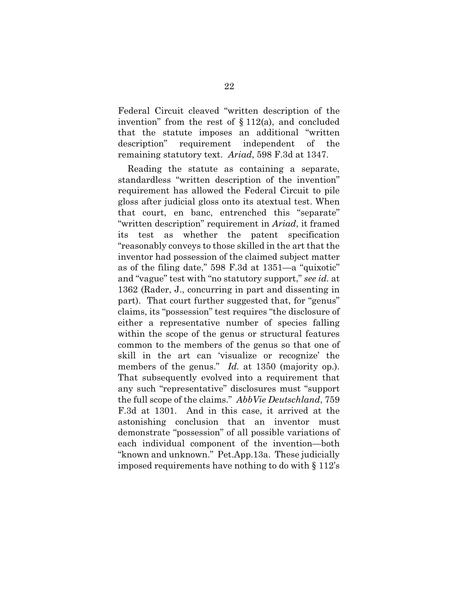Federal Circuit cleaved "written description of the invention" from the rest of  $\S 112(a)$ , and concluded that the statute imposes an additional "written description" requirement independent of the remaining statutory text. *Ariad*, 598 F.3d at 1347.

Reading the statute as containing a separate, standardless "written description of the invention" requirement has allowed the Federal Circuit to pile gloss after judicial gloss onto its atextual test. When that court, en banc, entrenched this "separate" "written description" requirement in *Ariad*, it framed its test as whether the patent specification "reasonably conveys to those skilled in the art that the inventor had possession of the claimed subject matter as of the filing date," 598 F.3d at 1351—a "quixotic" and "vague" test with "no statutory support," *see id.* at 1362 (Rader, J., concurring in part and dissenting in part). That court further suggested that, for "genus" claims, its "possession" test requires "the disclosure of either a representative number of species falling within the scope of the genus or structural features common to the members of the genus so that one of skill in the art can 'visualize or recognize' the members of the genus." *Id.* at 1350 (majority op.). That subsequently evolved into a requirement that any such "representative" disclosures must "support the full scope of the claims." *AbbVie Deutschland*, 759 F.3d at 1301. And in this case, it arrived at the astonishing conclusion that an inventor must demonstrate "possession" of all possible variations of each individual component of the invention—both "known and unknown." Pet.App.13a. These judicially imposed requirements have nothing to do with § 112's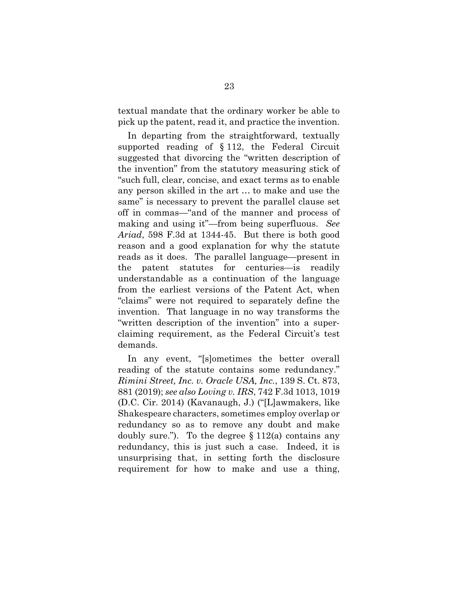textual mandate that the ordinary worker be able to pick up the patent, read it, and practice the invention.

In departing from the straightforward, textually supported reading of § 112, the Federal Circuit suggested that divorcing the "written description of the invention" from the statutory measuring stick of "such full, clear, concise, and exact terms as to enable any person skilled in the art … to make and use the same" is necessary to prevent the parallel clause set off in commas—"and of the manner and process of making and using it"—from being superfluous. *See Ariad*, 598 F.3d at 1344-45. But there is both good reason and a good explanation for why the statute reads as it does. The parallel language—present in the patent statutes for centuries—is readily understandable as a continuation of the language from the earliest versions of the Patent Act, when "claims" were not required to separately define the invention. That language in no way transforms the "written description of the invention" into a superclaiming requirement, as the Federal Circuit's test demands.

In any event, "[s]ometimes the better overall reading of the statute contains some redundancy." *Rimini Street, Inc. v. Oracle USA, Inc.*, 139 S. Ct. 873, 881 (2019); *see also Loving v. IRS*, 742 F.3d 1013, 1019 (D.C. Cir. 2014) (Kavanaugh, J.) ("[L]awmakers, like Shakespeare characters, sometimes employ overlap or redundancy so as to remove any doubt and make doubly sure."). To the degree  $\S 112(a)$  contains any redundancy, this is just such a case. Indeed, it is unsurprising that, in setting forth the disclosure requirement for how to make and use a thing,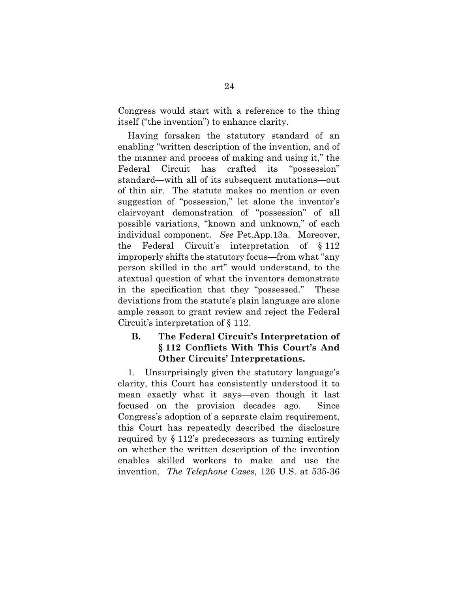Congress would start with a reference to the thing itself ("the invention") to enhance clarity.

Having forsaken the statutory standard of an enabling "written description of the invention, and of the manner and process of making and using it," the Federal Circuit has crafted its "possession" standard—with all of its subsequent mutations—out of thin air. The statute makes no mention or even suggestion of "possession," let alone the inventor's clairvoyant demonstration of "possession" of all possible variations, "known and unknown," of each individual component. *See* Pet.App.13a. Moreover, the Federal Circuit's interpretation of § 112 improperly shifts the statutory focus—from what "any person skilled in the art" would understand, to the atextual question of what the inventors demonstrate in the specification that they "possessed." These deviations from the statute's plain language are alone ample reason to grant review and reject the Federal Circuit's interpretation of § 112.

### **B. The Federal Circuit's Interpretation of § 112 Conflicts With This Court's And Other Circuits' Interpretations.**

1. Unsurprisingly given the statutory language's clarity, this Court has consistently understood it to mean exactly what it says—even though it last focused on the provision decades ago. Since Congress's adoption of a separate claim requirement, this Court has repeatedly described the disclosure required by § 112's predecessors as turning entirely on whether the written description of the invention enables skilled workers to make and use the invention. *The Telephone Cases*, 126 U.S. at 535-36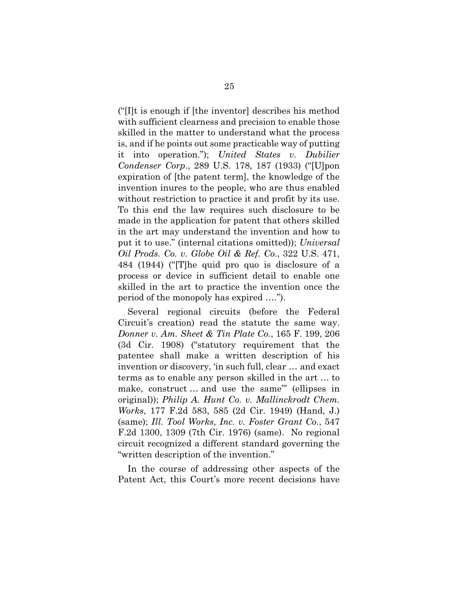("[I]t is enough if [the inventor] describes his method with sufficient clearness and precision to enable those skilled in the matter to understand what the process is, and if he points out some practicable way of putting it into operation."); *United States v. Dubilier Condenser Corp*., 289 U.S. 178, 187 (1933) ("[U]pon expiration of [the patent term], the knowledge of the invention inures to the people, who are thus enabled without restriction to practice it and profit by its use. To this end the law requires such disclosure to be made in the application for patent that others skilled in the art may understand the invention and how to put it to use." (internal citations omitted)); *Universal Oil Prods. Co. v. Globe Oil & Ref. Co.*, 322 U.S. 471, 484 (1944) ("[T]he quid pro quo is disclosure of a process or device in sufficient detail to enable one skilled in the art to practice the invention once the period of the monopoly has expired ….").

Several regional circuits (before the Federal Circuit's creation) read the statute the same way. *Donner v. Am. Sheet & Tin Plate Co.*, 165 F. 199, 206 (3d Cir. 1908) ("statutory requirement that the patentee shall make a written description of his invention or discovery, 'in such full, clear … and exact terms as to enable any person skilled in the art … to make, construct … and use the same'" (ellipses in original)); *Philip A. Hunt Co. v. Mallinckrodt Chem. Works*, 177 F.2d 583, 585 (2d Cir. 1949) (Hand, J.) (same); *Ill. Tool Works, Inc. v. Foster Grant Co.*, 547 F.2d 1300, 1309 (7th Cir. 1976) (same). No regional circuit recognized a different standard governing the "written description of the invention."

In the course of addressing other aspects of the Patent Act, this Court's more recent decisions have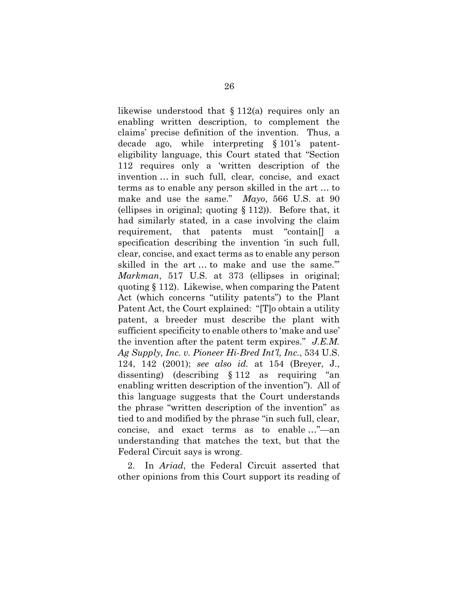likewise understood that  $\S 112(a)$  requires only an enabling written description, to complement the claims' precise definition of the invention. Thus, a decade ago, while interpreting § 101's patenteligibility language, this Court stated that "Section 112 requires only a 'written description of the invention … in such full, clear, concise, and exact terms as to enable any person skilled in the art … to make and use the same." *Mayo*, 566 U.S. at 90 (ellipses in original; quoting § 112)). Before that, it had similarly stated, in a case involving the claim requirement, that patents must "contain[] a specification describing the invention 'in such full, clear, concise, and exact terms as to enable any person skilled in the art … to make and use the same.'" *Markman*, 517 U.S. at 373 (ellipses in original; quoting § 112). Likewise, when comparing the Patent Act (which concerns "utility patents") to the Plant Patent Act, the Court explained: "[T]o obtain a utility patent, a breeder must describe the plant with sufficient specificity to enable others to 'make and use' the invention after the patent term expires." *J.E.M. Ag Supply, Inc. v. Pioneer Hi-Bred Int'l, Inc.*, 534 U.S. 124, 142 (2001); *see also id.* at 154 (Breyer, J., dissenting) (describing § 112 as requiring "an enabling written description of the invention"). All of this language suggests that the Court understands the phrase "written description of the invention" as tied to and modified by the phrase "in such full, clear, concise, and exact terms as to enable …"—an understanding that matches the text, but that the Federal Circuit says is wrong.

2. In *Ariad*, the Federal Circuit asserted that other opinions from this Court support its reading of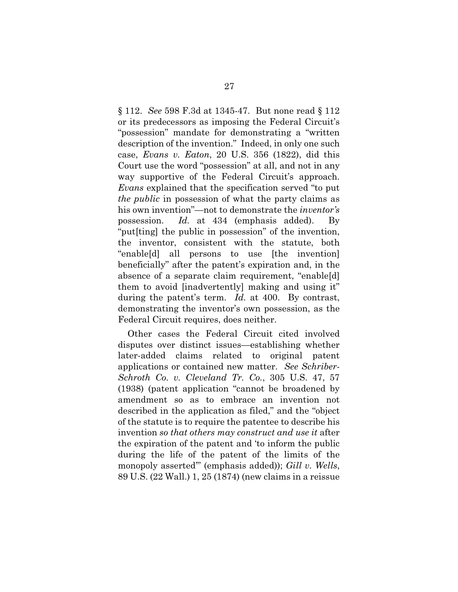§ 112. *See* 598 F.3d at 1345-47. But none read § 112 or its predecessors as imposing the Federal Circuit's "possession" mandate for demonstrating a "written description of the invention." Indeed, in only one such case, *Evans v. Eaton*, 20 U.S. 356 (1822), did this Court use the word "possession" at all, and not in any way supportive of the Federal Circuit's approach. *Evans* explained that the specification served "to put *the public* in possession of what the party claims as his own invention"—not to demonstrate the *inventor's* possession. *Id.* at 434 (emphasis added). By "put[ting] the public in possession" of the invention, the inventor, consistent with the statute, both "enable[d] all persons to use [the invention] beneficially" after the patent's expiration and, in the absence of a separate claim requirement, "enable[d] them to avoid [inadvertently] making and using it" during the patent's term. *Id.* at 400. By contrast, demonstrating the inventor's own possession, as the Federal Circuit requires, does neither.

Other cases the Federal Circuit cited involved disputes over distinct issues—establishing whether later-added claims related to original patent applications or contained new matter. *See Schriber-Schroth Co. v. Cleveland Tr. Co.*, 305 U.S. 47, 57 (1938) (patent application "cannot be broadened by amendment so as to embrace an invention not described in the application as filed," and the "object of the statute is to require the patentee to describe his invention *so that others may construct and use it* after the expiration of the patent and 'to inform the public during the life of the patent of the limits of the monopoly asserted'" (emphasis added)); *Gill v. Wells*, 89 U.S. (22 Wall.) 1, 25 (1874) (new claims in a reissue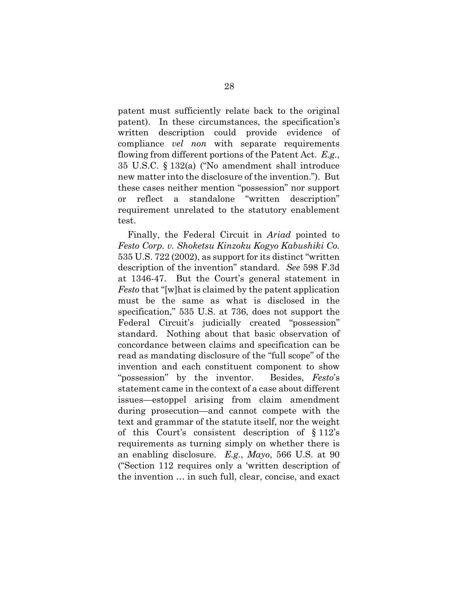patent must sufficiently relate back to the original patent). In these circumstances, the specification's written description could provide evidence of compliance *vel non* with separate requirements flowing from different portions of the Patent Act. *E.g.*, 35 U.S.C. § 132(a) ("No amendment shall introduce new matter into the disclosure of the invention."). But these cases neither mention "possession" nor support or reflect a standalone "written description" requirement unrelated to the statutory enablement test.

Finally, the Federal Circuit in *Ariad* pointed to *Festo Corp. v. Shoketsu Kinzoku Kogyo Kabushiki Co.* 535 U.S. 722 (2002), as support for its distinct "written description of the invention" standard. *See* 598 F.3d at 1346-47. But the Court's general statement in *Festo* that "[w]hat is claimed by the patent application must be the same as what is disclosed in the specification," 535 U.S. at 736, does not support the Federal Circuit's judicially created "possession" standard. Nothing about that basic observation of concordance between claims and specification can be read as mandating disclosure of the "full scope" of the invention and each constituent component to show "possession" by the inventor. Besides, *Festo*'s statement came in the context of a case about different issues—estoppel arising from claim amendment during prosecution—and cannot compete with the text and grammar of the statute itself, nor the weight of this Court's consistent description of § 112's requirements as turning simply on whether there is an enabling disclosure. *E.g.*, *Mayo*, 566 U.S. at 90 ("Section 112 requires only a 'written description of the invention … in such full, clear, concise, and exact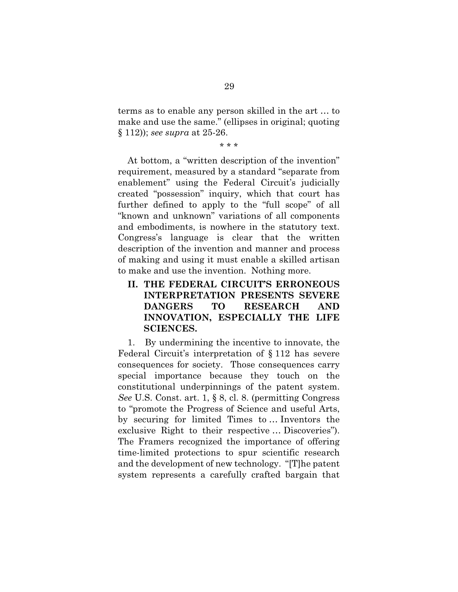terms as to enable any person skilled in the art … to make and use the same." (ellipses in original; quoting § 112)); *see supra* at 25-26.

\* \* \*

At bottom, a "written description of the invention" requirement, measured by a standard "separate from enablement" using the Federal Circuit's judicially created "possession" inquiry, which that court has further defined to apply to the "full scope" of all "known and unknown" variations of all components and embodiments, is nowhere in the statutory text. Congress's language is clear that the written description of the invention and manner and process of making and using it must enable a skilled artisan to make and use the invention. Nothing more.

**II. THE FEDERAL CIRCUIT'S ERRONEOUS INTERPRETATION PRESENTS SEVERE DANGERS TO RESEARCH AND INNOVATION, ESPECIALLY THE LIFE SCIENCES.** 

1. By undermining the incentive to innovate, the Federal Circuit's interpretation of § 112 has severe consequences for society. Those consequences carry special importance because they touch on the constitutional underpinnings of the patent system. *See* U.S. Const. art. 1, § 8, cl. 8. (permitting Congress to "promote the Progress of Science and useful Arts, by securing for limited Times to … Inventors the exclusive Right to their respective … Discoveries"). The Framers recognized the importance of offering time-limited protections to spur scientific research and the development of new technology. "[T]he patent system represents a carefully crafted bargain that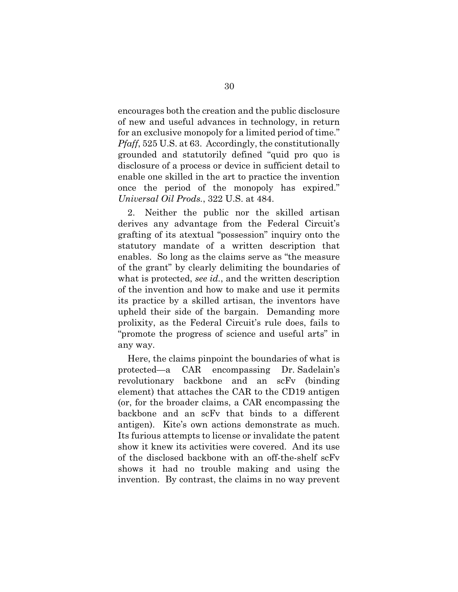encourages both the creation and the public disclosure of new and useful advances in technology, in return for an exclusive monopoly for a limited period of time." *Pfaff*, 525 U.S. at 63. Accordingly, the constitutionally grounded and statutorily defined "quid pro quo is disclosure of a process or device in sufficient detail to enable one skilled in the art to practice the invention once the period of the monopoly has expired." *Universal Oil Prods.*, 322 U.S. at 484.

2. Neither the public nor the skilled artisan derives any advantage from the Federal Circuit's grafting of its atextual "possession" inquiry onto the statutory mandate of a written description that enables. So long as the claims serve as "the measure of the grant" by clearly delimiting the boundaries of what is protected, *see id.*, and the written description of the invention and how to make and use it permits its practice by a skilled artisan, the inventors have upheld their side of the bargain. Demanding more prolixity, as the Federal Circuit's rule does, fails to "promote the progress of science and useful arts" in any way.

Here, the claims pinpoint the boundaries of what is protected—a CAR encompassing Dr. Sadelain's revolutionary backbone and an scFv (binding element) that attaches the CAR to the CD19 antigen (or, for the broader claims, a CAR encompassing the backbone and an scFv that binds to a different antigen). Kite's own actions demonstrate as much. Its furious attempts to license or invalidate the patent show it knew its activities were covered. And its use of the disclosed backbone with an off-the-shelf scFv shows it had no trouble making and using the invention. By contrast, the claims in no way prevent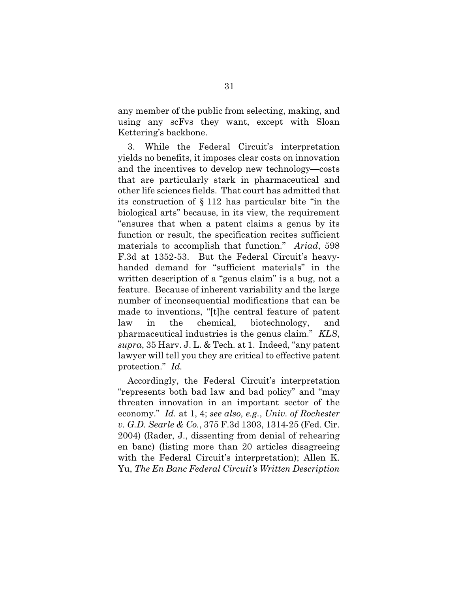any member of the public from selecting, making, and using any scFvs they want, except with Sloan Kettering's backbone.

3. While the Federal Circuit's interpretation yields no benefits, it imposes clear costs on innovation and the incentives to develop new technology—costs that are particularly stark in pharmaceutical and other life sciences fields. That court has admitted that its construction of § 112 has particular bite "in the biological arts" because, in its view, the requirement "ensures that when a patent claims a genus by its function or result, the specification recites sufficient materials to accomplish that function." *Ariad*, 598 F.3d at 1352-53. But the Federal Circuit's heavyhanded demand for "sufficient materials" in the written description of a "genus claim" is a bug, not a feature. Because of inherent variability and the large number of inconsequential modifications that can be made to inventions, "[t]he central feature of patent law in the chemical, biotechnology, and pharmaceutical industries is the genus claim." *KLS*, *supra*, 35 Harv. J. L. & Tech. at 1. Indeed, "any patent lawyer will tell you they are critical to effective patent protection." *Id.*

Accordingly, the Federal Circuit's interpretation "represents both bad law and bad policy" and "may threaten innovation in an important sector of the economy." *Id.* at 1, 4; *see also, e.g.*, *Univ. of Rochester v. G.D. Searle & Co.*, 375 F.3d 1303, 1314-25 (Fed. Cir. 2004) (Rader, J., dissenting from denial of rehearing en banc) (listing more than 20 articles disagreeing with the Federal Circuit's interpretation); Allen K. Yu, *The En Banc Federal Circuit's Written Description*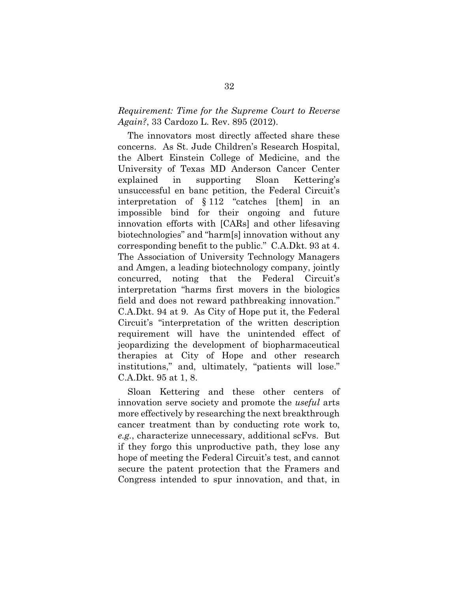#### *Requirement: Time for the Supreme Court to Reverse Again?*, 33 Cardozo L. Rev. 895 (2012).

The innovators most directly affected share these concerns. As St. Jude Children's Research Hospital, the Albert Einstein College of Medicine, and the University of Texas MD Anderson Cancer Center explained in supporting Sloan Kettering's unsuccessful en banc petition, the Federal Circuit's interpretation of § 112 "catches [them] in an impossible bind for their ongoing and future innovation efforts with [CARs] and other lifesaving biotechnologies" and "harm[s] innovation without any corresponding benefit to the public." C.A.Dkt. 93 at 4. The Association of University Technology Managers and Amgen, a leading biotechnology company, jointly concurred, noting that the Federal Circuit's interpretation "harms first movers in the biologics field and does not reward pathbreaking innovation." C.A.Dkt. 94 at 9. As City of Hope put it, the Federal Circuit's "interpretation of the written description requirement will have the unintended effect of jeopardizing the development of biopharmaceutical therapies at City of Hope and other research institutions," and, ultimately, "patients will lose." C.A.Dkt. 95 at 1, 8.

Sloan Kettering and these other centers of innovation serve society and promote the *useful* arts more effectively by researching the next breakthrough cancer treatment than by conducting rote work to, *e.g.*, characterize unnecessary, additional scFvs. But if they forgo this unproductive path, they lose any hope of meeting the Federal Circuit's test, and cannot secure the patent protection that the Framers and Congress intended to spur innovation, and that, in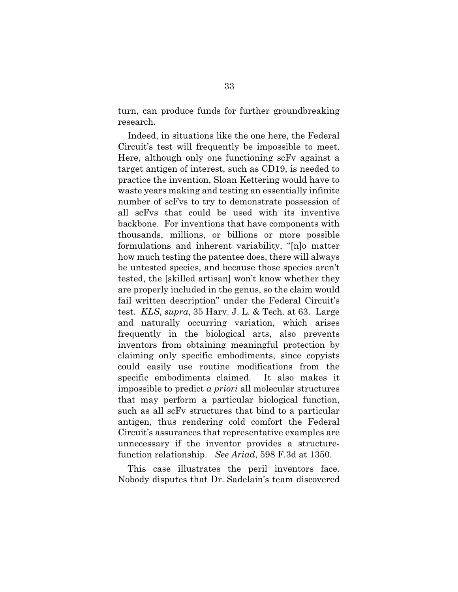turn, can produce funds for further groundbreaking research.

Indeed, in situations like the one here, the Federal Circuit's test will frequently be impossible to meet. Here, although only one functioning scFv against a target antigen of interest, such as CD19, is needed to practice the invention, Sloan Kettering would have to waste years making and testing an essentially infinite number of scFvs to try to demonstrate possession of all scFvs that could be used with its inventive backbone. For inventions that have components with thousands, millions, or billions or more possible formulations and inherent variability, "[n]o matter how much testing the patentee does, there will always be untested species, and because those species aren't tested, the [skilled artisan] won't know whether they are properly included in the genus, so the claim would fail written description" under the Federal Circuit's test. *KLS*, *supra*, 35 Harv. J. L. & Tech. at 63. Large and naturally occurring variation, which arises frequently in the biological arts, also prevents inventors from obtaining meaningful protection by claiming only specific embodiments, since copyists could easily use routine modifications from the specific embodiments claimed. It also makes it impossible to predict *a priori* all molecular structures that may perform a particular biological function, such as all scFv structures that bind to a particular antigen, thus rendering cold comfort the Federal Circuit's assurances that representative examples are unnecessary if the inventor provides a structurefunction relationship. *See Ariad*, 598 F.3d at 1350.

This case illustrates the peril inventors face. Nobody disputes that Dr. Sadelain's team discovered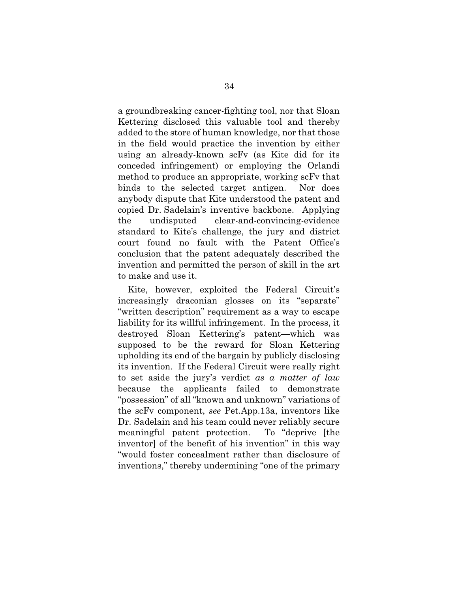a groundbreaking cancer-fighting tool, nor that Sloan Kettering disclosed this valuable tool and thereby added to the store of human knowledge, nor that those in the field would practice the invention by either using an already-known scFv (as Kite did for its conceded infringement) or employing the Orlandi method to produce an appropriate, working scFv that binds to the selected target antigen. Nor does anybody dispute that Kite understood the patent and copied Dr. Sadelain's inventive backbone. Applying the undisputed clear-and-convincing-evidence standard to Kite's challenge, the jury and district court found no fault with the Patent Office's conclusion that the patent adequately described the invention and permitted the person of skill in the art to make and use it.

Kite, however, exploited the Federal Circuit's increasingly draconian glosses on its "separate" "written description" requirement as a way to escape liability for its willful infringement. In the process, it destroyed Sloan Kettering's patent—which was supposed to be the reward for Sloan Kettering upholding its end of the bargain by publicly disclosing its invention. If the Federal Circuit were really right to set aside the jury's verdict *as a matter of law* because the applicants failed to demonstrate "possession" of all "known and unknown" variations of the scFv component, *see* Pet.App.13a, inventors like Dr. Sadelain and his team could never reliably secure meaningful patent protection. To "deprive [the inventor] of the benefit of his invention" in this way "would foster concealment rather than disclosure of inventions," thereby undermining "one of the primary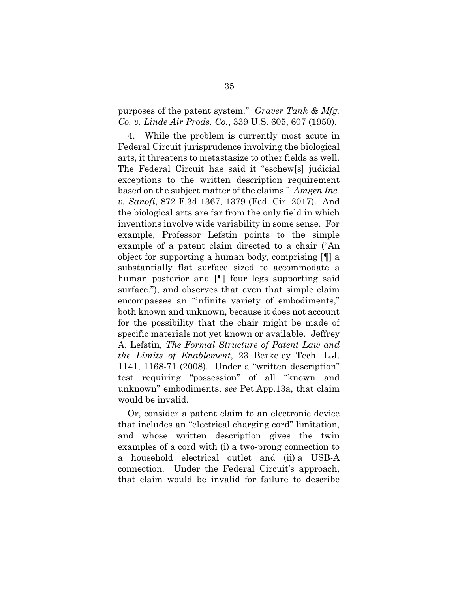purposes of the patent system." *Graver Tank & Mfg. Co. v. Linde Air Prods. Co.*, 339 U.S. 605, 607 (1950).

4. While the problem is currently most acute in Federal Circuit jurisprudence involving the biological arts, it threatens to metastasize to other fields as well. The Federal Circuit has said it "eschew[s] judicial exceptions to the written description requirement based on the subject matter of the claims." *Amgen Inc. v. Sanofi*, 872 F.3d 1367, 1379 (Fed. Cir. 2017). And the biological arts are far from the only field in which inventions involve wide variability in some sense. For example, Professor Lefstin points to the simple example of a patent claim directed to a chair ("An object for supporting a human body, comprising [¶] a substantially flat surface sized to accommodate a human posterior and [¶] four legs supporting said surface."), and observes that even that simple claim encompasses an "infinite variety of embodiments," both known and unknown, because it does not account for the possibility that the chair might be made of specific materials not yet known or available. Jeffrey A. Lefstin, *The Formal Structure of Patent Law and the Limits of Enablement*, 23 Berkeley Tech. L.J. 1141, 1168-71 (2008). Under a "written description" test requiring "possession" of all "known and unknown" embodiments, *see* Pet.App.13a, that claim would be invalid.

Or, consider a patent claim to an electronic device that includes an "electrical charging cord" limitation, and whose written description gives the twin examples of a cord with (i) a two-prong connection to a household electrical outlet and (ii) a USB-A connection. Under the Federal Circuit's approach, that claim would be invalid for failure to describe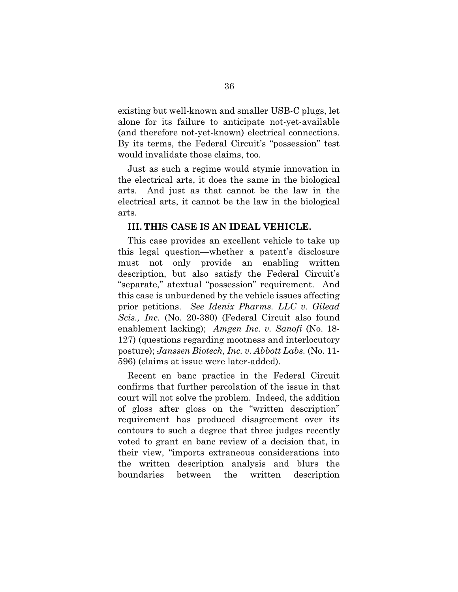existing but well-known and smaller USB-C plugs, let alone for its failure to anticipate not-yet-available (and therefore not-yet-known) electrical connections. By its terms, the Federal Circuit's "possession" test would invalidate those claims, too.

Just as such a regime would stymie innovation in the electrical arts, it does the same in the biological arts. And just as that cannot be the law in the electrical arts, it cannot be the law in the biological arts.

#### **III. THIS CASE IS AN IDEAL VEHICLE.**

This case provides an excellent vehicle to take up this legal question—whether a patent's disclosure must not only provide an enabling written description, but also satisfy the Federal Circuit's "separate," atextual "possession" requirement. And this case is unburdened by the vehicle issues affecting prior petitions. *See Idenix Pharms. LLC v. Gilead Scis., Inc.* (No. 20-380) (Federal Circuit also found enablement lacking); *Amgen Inc. v. Sanofi* (No. 18- 127) (questions regarding mootness and interlocutory posture); *Janssen Biotech, Inc. v. Abbott Labs.* (No. 11- 596) (claims at issue were later-added).

Recent en banc practice in the Federal Circuit confirms that further percolation of the issue in that court will not solve the problem. Indeed, the addition of gloss after gloss on the "written description" requirement has produced disagreement over its contours to such a degree that three judges recently voted to grant en banc review of a decision that, in their view, "imports extraneous considerations into the written description analysis and blurs the boundaries between the written description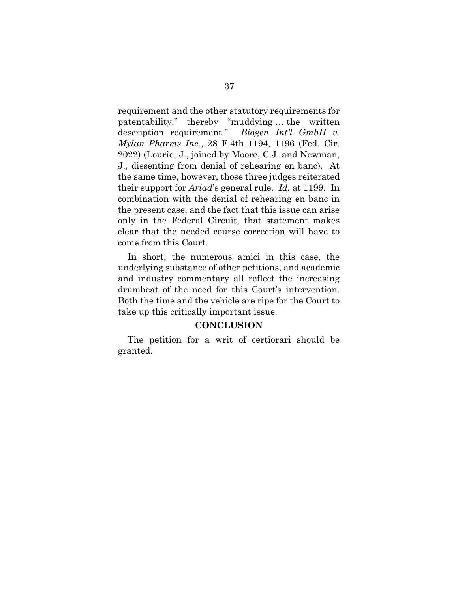requirement and the other statutory requirements for patentability," thereby "muddying … the written description requirement." *Biogen Int'l GmbH v. Mylan Pharms Inc.*, 28 F.4th 1194, 1196 (Fed. Cir. 2022) (Lourie, J., joined by Moore, C.J. and Newman, J., dissenting from denial of rehearing en banc). At the same time, however, those three judges reiterated their support for *Ariad*'s general rule. *Id.* at 1199. In combination with the denial of rehearing en banc in the present case, and the fact that this issue can arise only in the Federal Circuit, that statement makes clear that the needed course correction will have to come from this Court.

In short, the numerous amici in this case, the underlying substance of other petitions, and academic and industry commentary all reflect the increasing drumbeat of the need for this Court's intervention. Both the time and the vehicle are ripe for the Court to take up this critically important issue.

#### **CONCLUSION**

The petition for a writ of certiorari should be granted.